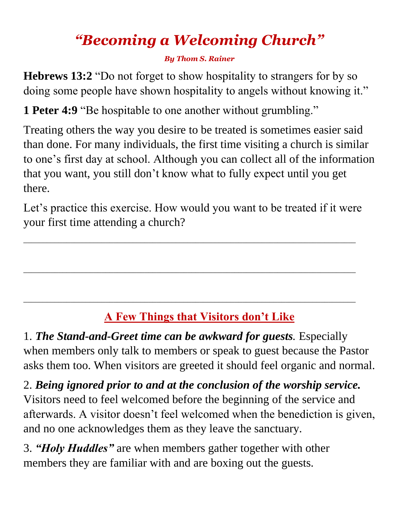# *"Becoming a Welcoming Church"*

#### *By Thom S. Rainer*

**Hebrews 13:2** "Do not forget to show hospitality to strangers for by so doing some people have shown hospitality to angels without knowing it."

**1 Peter 4:9** "Be hospitable to one another without grumbling."

Treating others the way you desire to be treated is sometimes easier said than done. For many individuals, the first time visiting a church is similar to one's first day at school. Although you can collect all of the information that you want, you still don't know what to fully expect until you get there.

Let's practice this exercise. How would you want to be treated if it were your first time attending a church?

\_\_\_\_\_\_\_\_\_\_\_\_\_\_\_\_\_\_\_\_\_\_\_\_\_\_\_\_\_\_\_\_\_\_\_\_\_\_\_\_\_\_\_\_\_\_\_\_\_\_\_\_\_\_\_\_\_\_\_\_\_\_\_\_\_\_\_\_\_\_\_\_\_\_\_\_\_\_\_\_\_\_\_\_\_

\_\_\_\_\_\_\_\_\_\_\_\_\_\_\_\_\_\_\_\_\_\_\_\_\_\_\_\_\_\_\_\_\_\_\_\_\_\_\_\_\_\_\_\_\_\_\_\_\_\_\_\_\_\_\_\_\_\_\_\_\_\_\_\_\_\_\_\_\_\_\_\_\_\_\_\_\_\_\_\_\_\_\_\_\_

\_\_\_\_\_\_\_\_\_\_\_\_\_\_\_\_\_\_\_\_\_\_\_\_\_\_\_\_\_\_\_\_\_\_\_\_\_\_\_\_\_\_\_\_\_\_\_\_\_\_\_\_\_\_\_\_\_\_\_\_\_\_\_\_\_\_\_\_\_\_\_\_\_\_\_\_\_\_\_\_\_\_\_\_\_

# **A Few Things that Visitors don't Like**

1. *The Stand-and-Greet time can be awkward for guests.* Especially when members only talk to members or speak to guest because the Pastor asks them too. When visitors are greeted it should feel organic and normal.

2. *Being ignored prior to and at the conclusion of the worship service.* Visitors need to feel welcomed before the beginning of the service and afterwards. A visitor doesn't feel welcomed when the benediction is given, and no one acknowledges them as they leave the sanctuary.

3. *"Holy Huddles"* are when members gather together with other members they are familiar with and are boxing out the guests.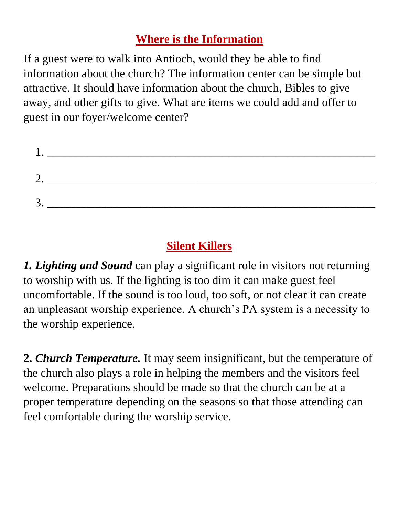### **Where is the Information**

If a guest were to walk into Antioch, would they be able to find information about the church? The information center can be simple but attractive. It should have information about the church, Bibles to give away, and other gifts to give. What are items we could add and offer to guest in our foyer/welcome center?

| $\sqrt{2}$              |  |  |
|-------------------------|--|--|
| $\mathcal{R}$<br>$\sim$ |  |  |

## **Silent Killers**

*1. Lighting and Sound* can play a significant role in visitors not returning to worship with us. If the lighting is too dim it can make guest feel uncomfortable. If the sound is too loud, too soft, or not clear it can create an unpleasant worship experience. A church's PA system is a necessity to the worship experience.

**2.** *Church Temperature.* It may seem insignificant, but the temperature of the church also plays a role in helping the members and the visitors feel welcome. Preparations should be made so that the church can be at a proper temperature depending on the seasons so that those attending can feel comfortable during the worship service.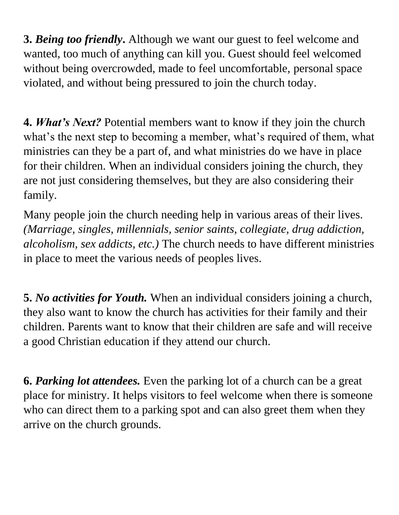**3.** *Being too friendly***.** Although we want our guest to feel welcome and wanted, too much of anything can kill you. Guest should feel welcomed without being overcrowded, made to feel uncomfortable, personal space violated, and without being pressured to join the church today.

**4.** *What's Next?* Potential members want to know if they join the church what's the next step to becoming a member, what's required of them, what ministries can they be a part of, and what ministries do we have in place for their children. When an individual considers joining the church, they are not just considering themselves, but they are also considering their family.

Many people join the church needing help in various areas of their lives. *(Marriage, singles, millennials, senior saints, collegiate, drug addiction, alcoholism, sex addicts, etc.)* The church needs to have different ministries in place to meet the various needs of peoples lives.

**5.** *No activities for Youth.* When an individual considers joining a church, they also want to know the church has activities for their family and their children. Parents want to know that their children are safe and will receive a good Christian education if they attend our church.

**6.** *Parking lot attendees.* Even the parking lot of a church can be a great place for ministry. It helps visitors to feel welcome when there is someone who can direct them to a parking spot and can also greet them when they arrive on the church grounds.